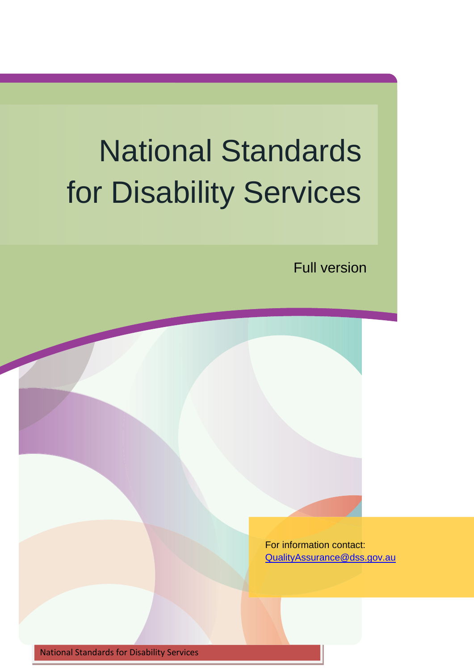# National Standards for Disability Services

Full version

For information contact: [QualityAssurance@dss.gov.au](mailto:QualityAssurance@dss.gov.au)

National Standards for Disability Services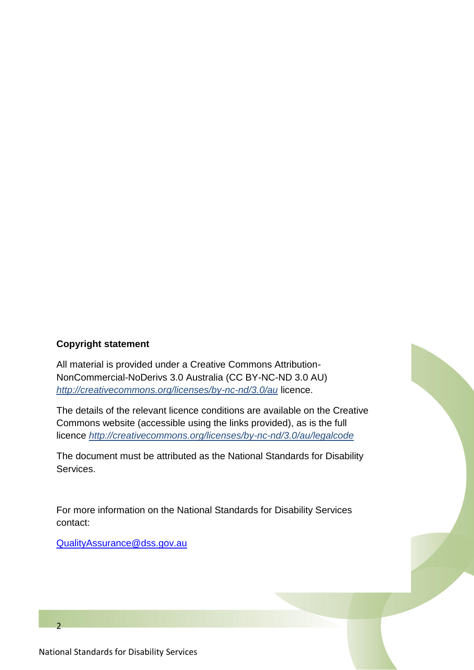#### **Copyright statement**

All material is provided under a Creative Commons Attribution-NonCommercial-NoDerivs 3.0 Australia (CC BY-NC-ND 3.0 AU) *<http://creativecommons.org/licenses/by-nc-nd/3.0/au>* licence.

The details of the relevant licence conditions are available on the Creative Commons website (accessible using the links provided), as is the full licence *<http://creativecommons.org/licenses/by-nc-nd/3.0/au/legalcode>*

The document must be attributed as the National Standards for Disability Services.

For more information on the National Standards for Disability Services contact:

[QualityAssurance@dss.gov.au](mailto:QualityAssurance@dss.gov.au)



 $\overline{2}$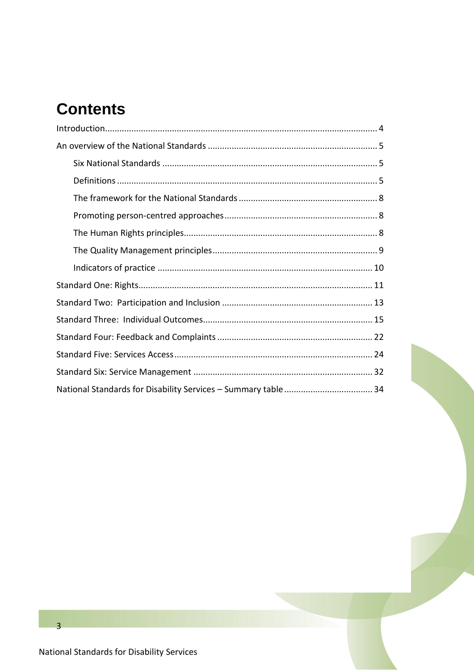# **Contents**

 $\overline{3}$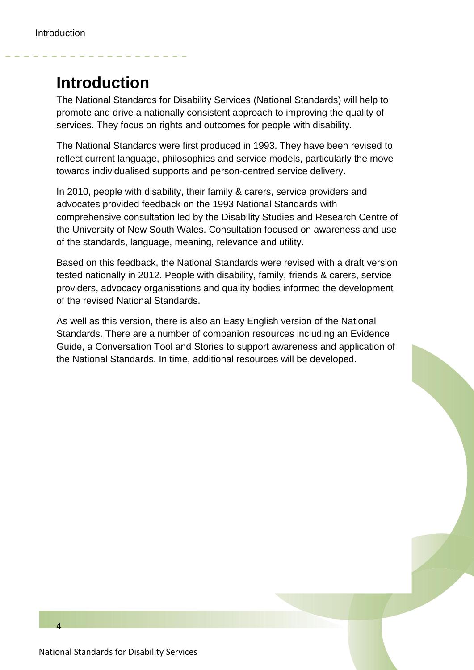## <span id="page-3-0"></span>**Introduction**

The National Standards for Disability Services (National Standards) will help to promote and drive a nationally consistent approach to improving the quality of services. They focus on rights and outcomes for people with disability.

The National Standards were first produced in 1993. They have been revised to reflect current language, philosophies and service models, particularly the move towards individualised supports and person-centred service delivery.

In 2010, people with disability, their family & carers, service providers and advocates provided feedback on the 1993 National Standards with comprehensive consultation led by the Disability Studies and Research Centre of the University of New South Wales. Consultation focused on awareness and use of the standards, language, meaning, relevance and utility.

Based on this feedback, the National Standards were revised with a draft version tested nationally in 2012. People with disability, family, friends & carers, service providers, advocacy organisations and quality bodies informed the development of the revised National Standards.

As well as this version, there is also an Easy English version of the National Standards. There are a number of companion resources including an Evidence Guide, a Conversation Tool and Stories to support awareness and application of the National Standards. In time, additional resources will be developed.

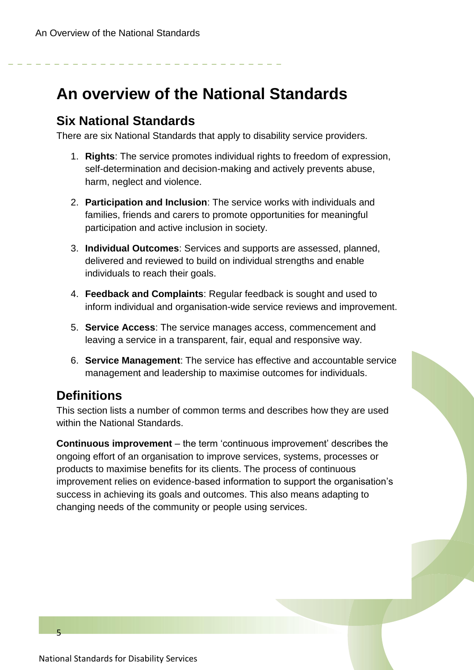## <span id="page-4-0"></span>**An overview of the National Standards**

#### <span id="page-4-1"></span>**Six National Standards**

There are six National Standards that apply to disability service providers.

- 1. **Rights**: The service promotes individual rights to freedom of expression, self-determination and decision-making and actively prevents abuse, harm, neglect and violence.
- 2. **Participation and Inclusion**: The service works with individuals and families, friends and carers to promote opportunities for meaningful participation and active inclusion in society.
- 3. **Individual Outcomes**: Services and supports are assessed, planned, delivered and reviewed to build on individual strengths and enable individuals to reach their goals.
- 4. **Feedback and Complaints**: Regular feedback is sought and used to inform individual and organisation-wide service reviews and improvement.
- 5. **Service Access**: The service manages access, commencement and leaving a service in a transparent, fair, equal and responsive way.
- 6. **Service Management**: The service has effective and accountable service management and leadership to maximise outcomes for individuals.

### <span id="page-4-2"></span>**Definitions**

This section lists a number of common terms and describes how they are used within the National Standards.

**Continuous improvement** – the term 'continuous improvement' describes the ongoing effort of an organisation to improve services, systems, processes or products to maximise benefits for its clients. The process of continuous improvement relies on evidence-based information to support the organisation's success in achieving its goals and outcomes. This also means adapting to changing needs of the community or people using services.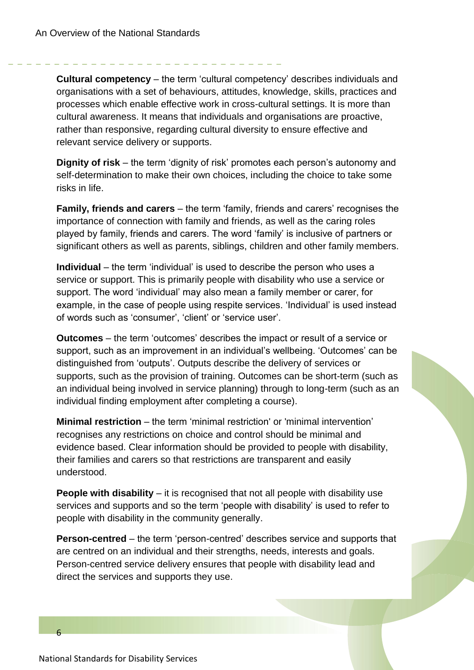**Cultural competency** – the term 'cultural competency' describes individuals and organisations with a set of behaviours, attitudes, knowledge, skills, practices and processes which enable effective work in cross-cultural settings. It is more than cultural awareness. It means that individuals and organisations are proactive, rather than responsive, regarding cultural diversity to ensure effective and relevant service delivery or supports.

**Dignity of risk** – the term 'dignity of risk' promotes each person's autonomy and self-determination to make their own choices, including the choice to take some risks in life.

**Family, friends and carers** – the term 'family, friends and carers' recognises the importance of connection with family and friends, as well as the caring roles played by family, friends and carers. The word 'family' is inclusive of partners or significant others as well as parents, siblings, children and other family members.

**Individual** – the term 'individual' is used to describe the person who uses a service or support. This is primarily people with disability who use a service or support. The word 'individual' may also mean a family member or carer, for example, in the case of people using respite services. 'Individual' is used instead of words such as 'consumer', 'client' or 'service user'.

**Outcomes** – the term 'outcomes' describes the impact or result of a service or support, such as an improvement in an individual's wellbeing. 'Outcomes' can be distinguished from 'outputs'. Outputs describe the delivery of services or supports, such as the provision of training. Outcomes can be short-term (such as an individual being involved in service planning) through to long-term (such as an individual finding employment after completing a course).

**Minimal restriction** – the term 'minimal restriction' or 'minimal intervention' recognises any restrictions on choice and control should be minimal and evidence based. Clear information should be provided to people with disability, their families and carers so that restrictions are transparent and easily understood.

**People with disability** – it is recognised that not all people with disability use services and supports and so the term 'people with disability' is used to refer to people with disability in the community generally.

**Person-centred** – the term 'person-centred' describes service and supports that are centred on an individual and their strengths, needs, interests and goals. Person-centred service delivery ensures that people with disability lead and direct the services and supports they use.

National Standards for Disability Services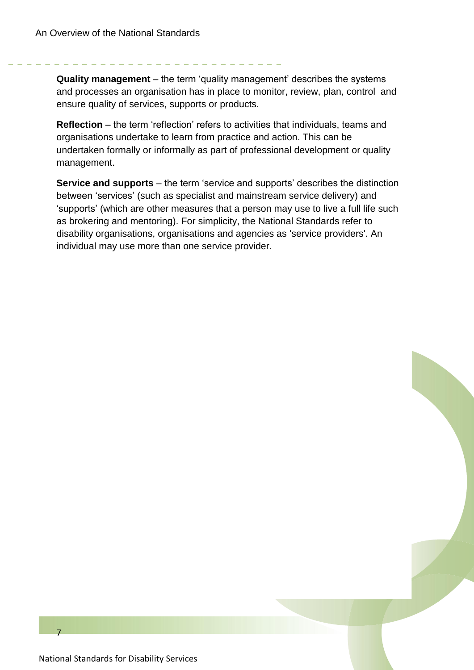**Quality management** – the term 'quality management' describes the systems and processes an organisation has in place to monitor, review, plan, control and ensure quality of services, supports or products.

**Reflection** – the term 'reflection' refers to activities that individuals, teams and organisations undertake to learn from practice and action. This can be undertaken formally or informally as part of professional development or quality management.

**Service and supports** – the term 'service and supports' describes the distinction between 'services' (such as specialist and mainstream service delivery) and 'supports' (which are other measures that a person may use to live a full life such as brokering and mentoring). For simplicity, the National Standards refer to disability organisations, organisations and agencies as 'service providers'. An individual may use more than one service provider.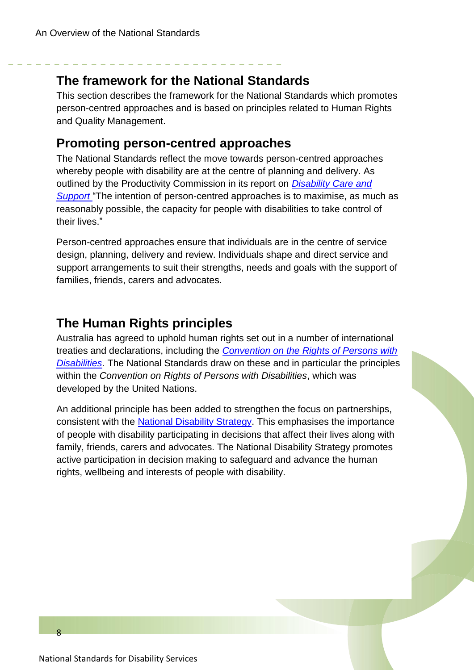#### <span id="page-7-0"></span>**The framework for the National Standards**

This section describes the framework for the National Standards which promotes person-centred approaches and is based on principles related to Human Rights and Quality Management.

#### <span id="page-7-1"></span>**Promoting person-centred approaches**

The National Standards reflect the move towards person-centred approaches whereby people with disability are at the centre of planning and delivery. As outlined by the Productivity Commission in its report on *[Disability Care and](http://www.pc.gov.au/projects/inquiry/disability-support/report)  [Support](http://www.pc.gov.au/projects/inquiry/disability-support/report)* "The intention of person-centred approaches is to maximise, as much as reasonably possible, the capacity for people with disabilities to take control of their lives."

Person-centred approaches ensure that individuals are in the centre of service design, planning, delivery and review. Individuals shape and direct service and support arrangements to suit their strengths, needs and goals with the support of families, friends, carers and advocates.

#### <span id="page-7-2"></span>**The Human Rights principles**

Australia has agreed to uphold human rights set out in a number of international treaties and declarations, including the *[Convention on the Rights of Persons with](http://www.un.org/disabilities/convention/conventionfull.shtml)  [Disabilities](http://www.un.org/disabilities/convention/conventionfull.shtml)*. The National Standards draw on these and in particular the principles within the *Convention on Rights of Persons with Disabilities*, which was developed by the United Nations.

An additional principle has been added to strengthen the focus on partnerships, consistent with the [National Disability Strategy.](http://www.fahcsia.gov.au/our-responsibilities/disability-and-carers/publications-articles/policy-research/national-disability-strategy-2010-2020) This emphasises the importance of people with disability participating in decisions that affect their lives along with family, friends, carers and advocates. The National Disability Strategy promotes active participation in decision making to safeguard and advance the human rights, wellbeing and interests of people with disability.

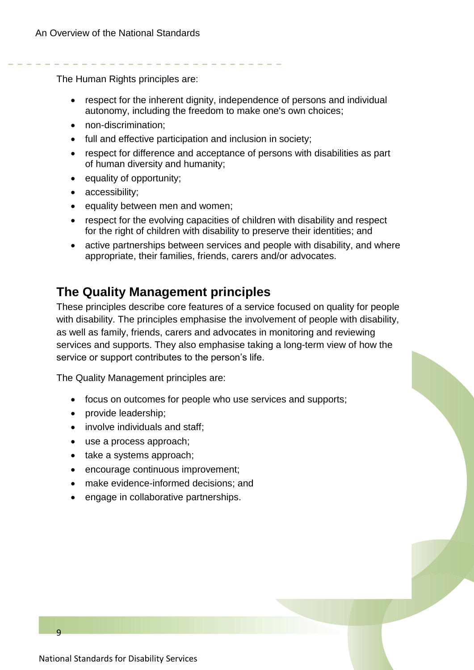The Human Rights principles are:

- respect for the inherent dignity, independence of persons and individual autonomy, including the freedom to make one's own choices;
- non-discrimination;
- full and effective participation and inclusion in society;
- respect for difference and acceptance of persons with disabilities as part of human diversity and humanity;
- equality of opportunity;
- accessibility;
- equality between men and women;
- respect for the evolving capacities of children with disability and respect for the right of children with disability to preserve their identities; and
- active partnerships between services and people with disability, and where appropriate, their families, friends, carers and/or advocates.

#### <span id="page-8-0"></span>**The Quality Management principles**

These principles describe core features of a service focused on quality for people with disability. The principles emphasise the involvement of people with disability, as well as family, friends, carers and advocates in monitoring and reviewing services and supports. They also emphasise taking a long-term view of how the service or support contributes to the person's life.

The Quality Management principles are:

- focus on outcomes for people who use services and supports;
- provide leadership;
- involve individuals and staff;
- use a process approach;
- take a systems approach;
- encourage continuous improvement;
- make evidence-informed decisions; and
- engage in collaborative partnerships.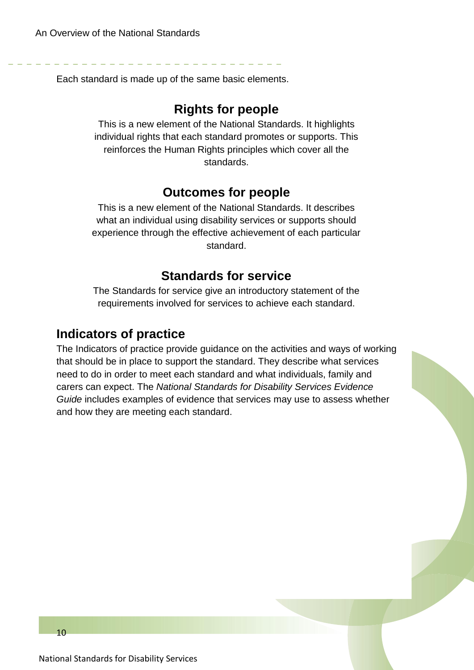Each standard is made up of the same basic elements.

#### **Rights for people**

This is a new element of the National Standards. It highlights individual rights that each standard promotes or supports. This reinforces the Human Rights principles which cover all the standards.

#### **Outcomes for people**

This is a new element of the National Standards. It describes what an individual using disability services or supports should experience through the effective achievement of each particular standard.

#### **Standards for service**

The Standards for service give an introductory statement of the requirements involved for services to achieve each standard.

#### <span id="page-9-0"></span>**Indicators of practice**

The Indicators of practice provide guidance on the activities and ways of working that should be in place to support the standard. They describe what services need to do in order to meet each standard and what individuals, family and carers can expect. The *National Standards for Disability Services Evidence Guide* includes examples of evidence that services may use to assess whether and how they are meeting each standard.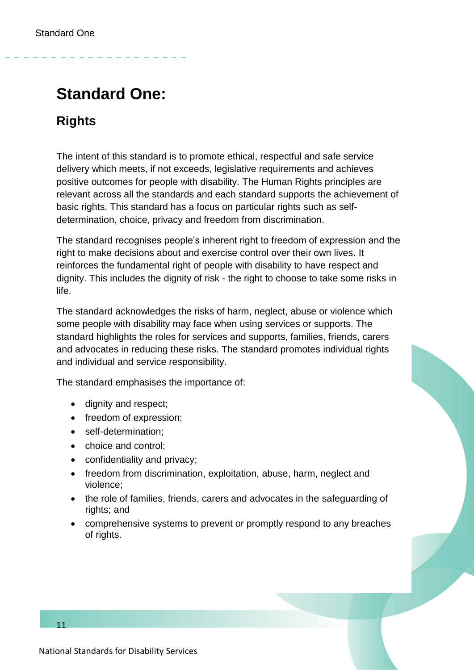## <span id="page-10-0"></span>**Standard One:**

## **Rights**

The intent of this standard is to promote ethical, respectful and safe service delivery which meets, if not exceeds, legislative requirements and achieves positive outcomes for people with disability. The Human Rights principles are relevant across all the standards and each standard supports the achievement of basic rights. This standard has a focus on particular rights such as selfdetermination, choice, privacy and freedom from discrimination.

The standard recognises people's inherent right to freedom of expression and the right to make decisions about and exercise control over their own lives. It reinforces the fundamental right of people with disability to have respect and dignity. This includes the dignity of risk - the right to choose to take some risks in life.

The standard acknowledges the risks of harm, neglect, abuse or violence which some people with disability may face when using services or supports. The standard highlights the roles for services and supports, families, friends, carers and advocates in reducing these risks. The standard promotes individual rights and individual and service responsibility.

The standard emphasises the importance of:

- dignity and respect;
- freedom of expression;
- self-determination;
- choice and control;
- confidentiality and privacy;
- freedom from discrimination, exploitation, abuse, harm, neglect and violence;
- the role of families, friends, carers and advocates in the safeguarding of rights; and
- comprehensive systems to prevent or promptly respond to any breaches of rights.

11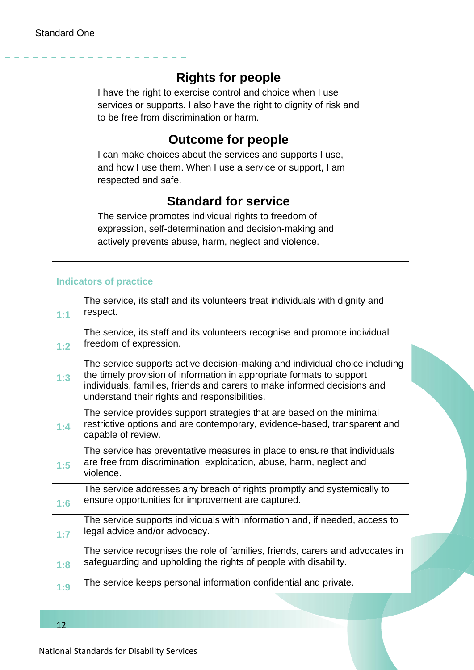#### **Rights for people**

I have the right to exercise control and choice when I use services or supports. I also have the right to dignity of risk and to be free from discrimination or harm.

#### **Outcome for people**

I can make choices about the services and supports I use, and how I use them. When I use a service or support, I am respected and safe.

#### **Standard for service**

The service promotes individual rights to freedom of expression, self-determination and decision-making and actively prevents abuse, harm, neglect and violence.

| <b>Indicators of practice</b> |                                                                                                                                                                                                                                                                                   |  |  |  |
|-------------------------------|-----------------------------------------------------------------------------------------------------------------------------------------------------------------------------------------------------------------------------------------------------------------------------------|--|--|--|
| 1:1                           | The service, its staff and its volunteers treat individuals with dignity and<br>respect.                                                                                                                                                                                          |  |  |  |
| 1:2                           | The service, its staff and its volunteers recognise and promote individual<br>freedom of expression.                                                                                                                                                                              |  |  |  |
| 1:3                           | The service supports active decision-making and individual choice including<br>the timely provision of information in appropriate formats to support<br>individuals, families, friends and carers to make informed decisions and<br>understand their rights and responsibilities. |  |  |  |
| 1:4                           | The service provides support strategies that are based on the minimal<br>restrictive options and are contemporary, evidence-based, transparent and<br>capable of review.                                                                                                          |  |  |  |
| 1:5                           | The service has preventative measures in place to ensure that individuals<br>are free from discrimination, exploitation, abuse, harm, neglect and<br>violence.                                                                                                                    |  |  |  |
| 1:6                           | The service addresses any breach of rights promptly and systemically to<br>ensure opportunities for improvement are captured.                                                                                                                                                     |  |  |  |
| 1:7                           | The service supports individuals with information and, if needed, access to<br>legal advice and/or advocacy.                                                                                                                                                                      |  |  |  |
| 1:8                           | The service recognises the role of families, friends, carers and advocates in<br>safeguarding and upholding the rights of people with disability.                                                                                                                                 |  |  |  |
| 1:9                           | The service keeps personal information confidential and private.                                                                                                                                                                                                                  |  |  |  |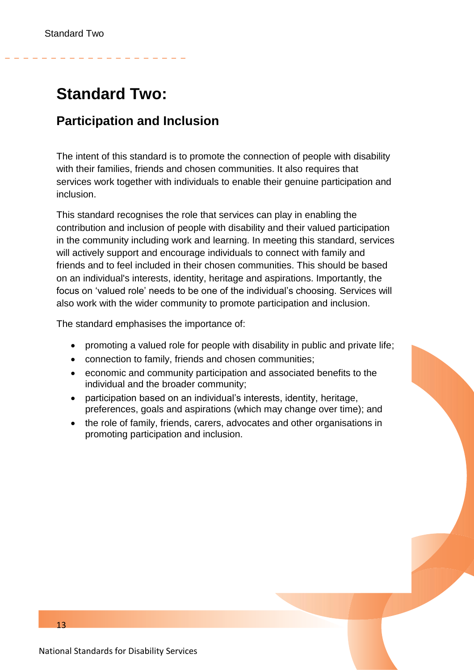## <span id="page-12-0"></span>**Standard Two:**

#### **Participation and Inclusion**

The intent of this standard is to promote the connection of people with disability with their families, friends and chosen communities. It also requires that services work together with individuals to enable their genuine participation and inclusion.

This standard recognises the role that services can play in enabling the contribution and inclusion of people with disability and their valued participation in the community including work and learning. In meeting this standard, services will actively support and encourage individuals to connect with family and friends and to feel included in their chosen communities. This should be based on an individual's interests, identity, heritage and aspirations. Importantly, the focus on 'valued role' needs to be one of the individual's choosing. Services will also work with the wider community to promote participation and inclusion.

The standard emphasises the importance of:

- promoting a valued role for people with disability in public and private life;
- connection to family, friends and chosen communities;
- economic and community participation and associated benefits to the individual and the broader community;
- participation based on an individual's interests, identity, heritage, preferences, goals and aspirations (which may change over time); and
- the role of family, friends, carers, advocates and other organisations in promoting participation and inclusion.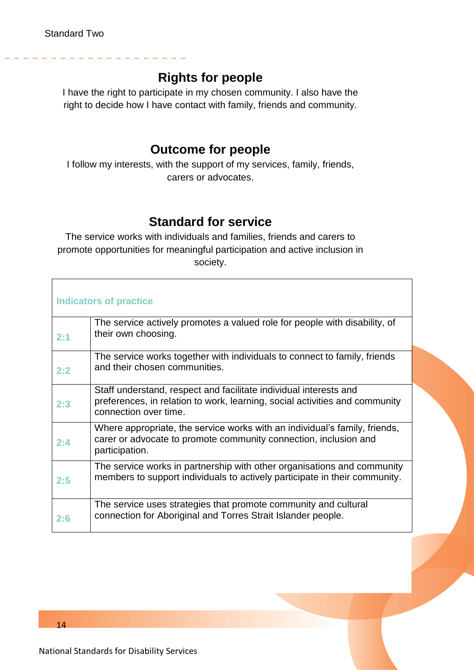#### **Rights for people**

I have the right to participate in my chosen community. I also have the right to decide how I have contact with family, friends and community.

#### **Outcome for people**

I follow my interests, with the support of my services, family, friends, carers or advocates.

#### **Standard for service**

The service works with individuals and families, friends and carers to promote opportunities for meaningful participation and active inclusion in society.

| <b>Indicators of practice</b> |                                                                                                                                                                           |  |  |
|-------------------------------|---------------------------------------------------------------------------------------------------------------------------------------------------------------------------|--|--|
| 2:1                           | The service actively promotes a valued role for people with disability, of<br>their own choosing.                                                                         |  |  |
| 2:2                           | The service works together with individuals to connect to family, friends<br>and their chosen communities.                                                                |  |  |
| 2:3                           | Staff understand, respect and facilitate individual interests and<br>preferences, in relation to work, learning, social activities and community<br>connection over time. |  |  |
| 2:4                           | Where appropriate, the service works with an individual's family, friends,<br>carer or advocate to promote community connection, inclusion and<br>participation.          |  |  |
| 2:5                           | The service works in partnership with other organisations and community<br>members to support individuals to actively participate in their community.                     |  |  |
| 2:6                           | The service uses strategies that promote community and cultural<br>connection for Aboriginal and Torres Strait Islander people.                                           |  |  |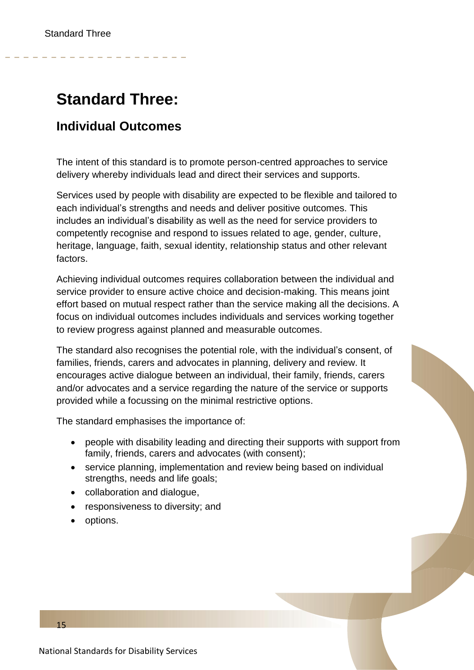## <span id="page-14-0"></span>**Standard Three:**

#### **Individual Outcomes**

The intent of this standard is to promote person-centred approaches to service delivery whereby individuals lead and direct their services and supports.

Services used by people with disability are expected to be flexible and tailored to each individual's strengths and needs and deliver positive outcomes. This includes an individual's disability as well as the need for service providers to competently recognise and respond to issues related to age, gender, culture, heritage, language, faith, sexual identity, relationship status and other relevant factors.

Achieving individual outcomes requires collaboration between the individual and service provider to ensure active choice and decision-making. This means joint effort based on mutual respect rather than the service making all the decisions. A focus on individual outcomes includes individuals and services working together to review progress against planned and measurable outcomes.

The standard also recognises the potential role, with the individual's consent, of families, friends, carers and advocates in planning, delivery and review. It encourages active dialogue between an individual, their family, friends, carers and/or advocates and a service regarding the nature of the service or supports provided while a focussing on the minimal restrictive options.

The standard emphasises the importance of:

- people with disability leading and directing their supports with support from family, friends, carers and advocates (with consent);
- service planning, implementation and review being based on individual strengths, needs and life goals;
- collaboration and dialogue,
- responsiveness to diversity; and
- options.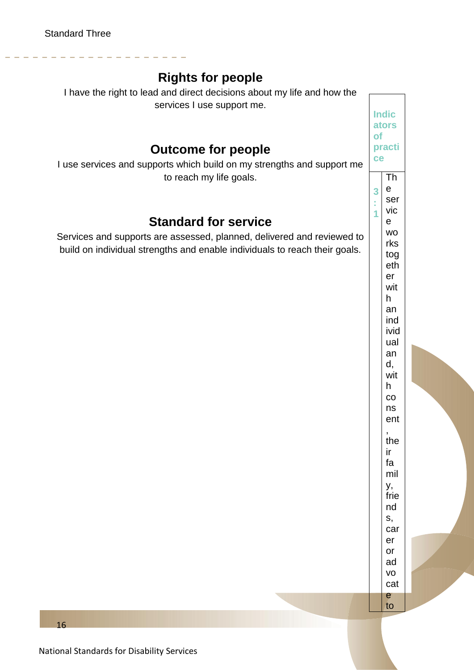#### **Rights for people**

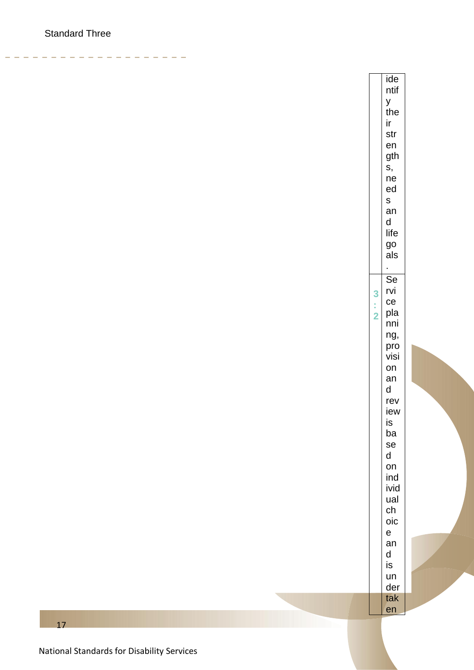$-$ 

ide ntif  $\mathsf{y}$ the ir str  $en$ gth s, ne ed  $\mathsf{s}$ an  $\mathsf{d}$ life go als t.  $\overline{\mathsf{Se}}$ rvi  $\overline{\mathbf{3}}$  $ce$  $\frac{1}{2}$ pla nni ng, pro visi on an  $\mathsf{d}$ rev iew is ba se  $\mathsf{d}$ on ind ivid ual  $ch$ oic  $\mathsf{e}$ an  $\mathsf d$ is un der tak en

National Standards for Disability Services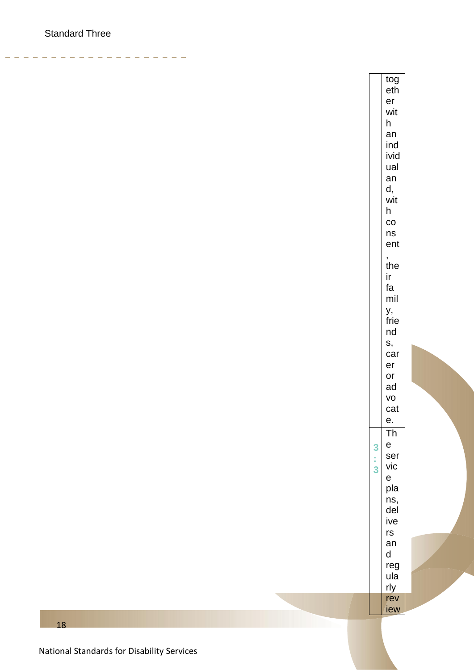$\frac{1}{2} \left( \frac{1}{2} \right) \left( \frac{1}{2} \right) \left( \frac{1}{2} \right) \left( \frac{1}{2} \right)$ 

tog eth  $er$ wit  $h$ an ind ivid ual an  $d,$ wit  $h$  $_{\rm CO}$ ns ent  $\overline{\phantom{a}}$ the ir. fa mil у, frie nd S, car  $er$ or ad VO cat е.  $T<sub>h</sub>$  ${\bf e}$  $\overline{\mathbf{3}}$ ser  $\frac{1}{3}$ vic  $\mathsf{e}% _{t}\left( \mathsf{e}\right)$ pla ns, del ive  $rs$ an  $\mathsf{d}$ reg ula rly rev iew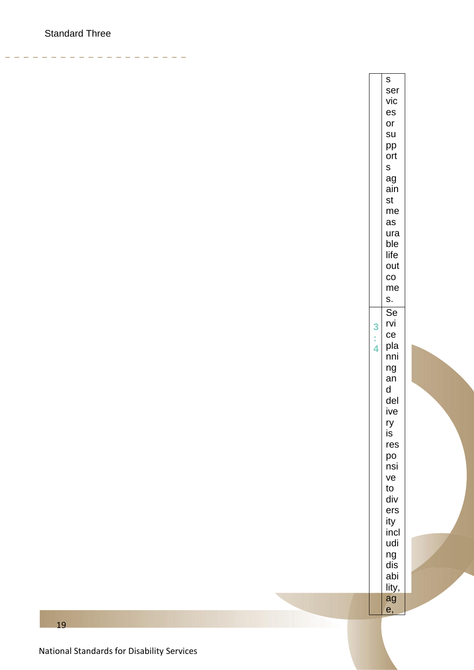$\frac{1}{2} \left( \frac{1}{2} \right) \left( \frac{1}{2} \right) \left( \frac{1}{2} \right) \left( \frac{1}{2} \right)$ 

 $\mathsf{s}$ ser vic  $es$  $or$ su pp ort  $S$ ag ain st me as ura ble life out  $\rm{CO}$ me S. Se rvi 3  $ce$ ł, pla  $\overline{4}$ nni  $ng$ an  $\mathsf{d}$ del ive ry is res po nsi ve to div ers ity incl udi ng dis abi lity, ag e,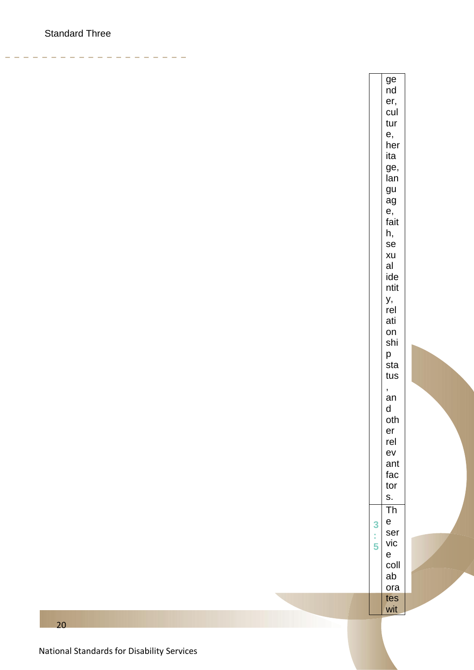$-$ 

ge nd er, cul tur  $e,$ her ita ge, lan gu ag e, fait h, se xu al ide ntit у, rel ati on shi p sta tus  $\mathbf{r}$ an  $\mathsf{d}$ oth  $er$ rel ev ant fac tor S.  $\overline{\text{Th}}$  $\mathsf{e}$  $\overline{\mathbf{3}}$ ser ś, vic 5  $\mathsf{e}$ coll ab ora tes wit

National Standards for Disability Services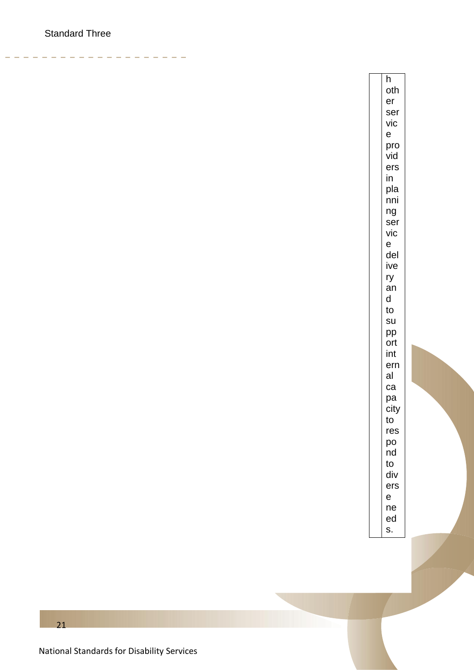$\frac{1}{2} \left( \frac{1}{2} \right) \left( \frac{1}{2} \right) \left( \frac{1}{2} \right) \left( \frac{1}{2} \right)$ 

 $\overline{h}$ oth  $er$ ser vic  $\mathsf{e}$ pro vid ers  $in$ pla nni  $ng$ ser vic  $\mathsf{e}$ del ive ry an d to su pp ort int ern al  $ca$ pa city to res po nd  $to$ div ers  $\mathsf{e}$  $ne$ ed S.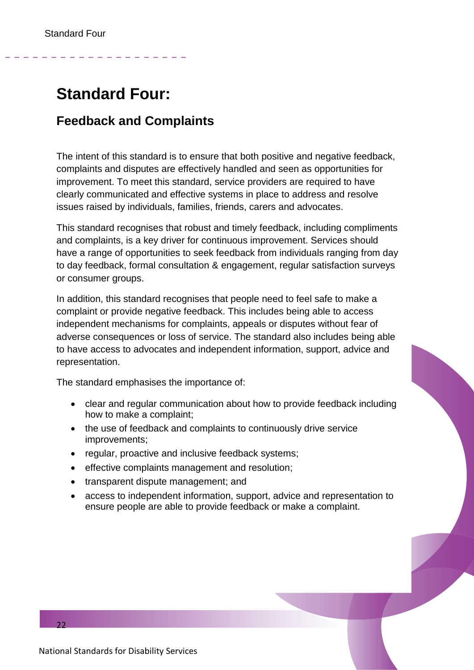## <span id="page-21-0"></span>**Standard Four:**

#### **Feedback and Complaints**

The intent of this standard is to ensure that both positive and negative feedback, complaints and disputes are effectively handled and seen as opportunities for improvement. To meet this standard, service providers are required to have clearly communicated and effective systems in place to address and resolve issues raised by individuals, families, friends, carers and advocates.

This standard recognises that robust and timely feedback, including compliments and complaints, is a key driver for continuous improvement. Services should have a range of opportunities to seek feedback from individuals ranging from day to day feedback, formal consultation & engagement, regular satisfaction surveys or consumer groups.

In addition, this standard recognises that people need to feel safe to make a complaint or provide negative feedback. This includes being able to access independent mechanisms for complaints, appeals or disputes without fear of adverse consequences or loss of service. The standard also includes being able to have access to advocates and independent information, support, advice and representation.

The standard emphasises the importance of:

- clear and regular communication about how to provide feedback including how to make a complaint;
- the use of feedback and complaints to continuously drive service improvements;
- regular, proactive and inclusive feedback systems;
- effective complaints management and resolution;
- transparent dispute management; and
- access to independent information, support, advice and representation to ensure people are able to provide feedback or make a complaint.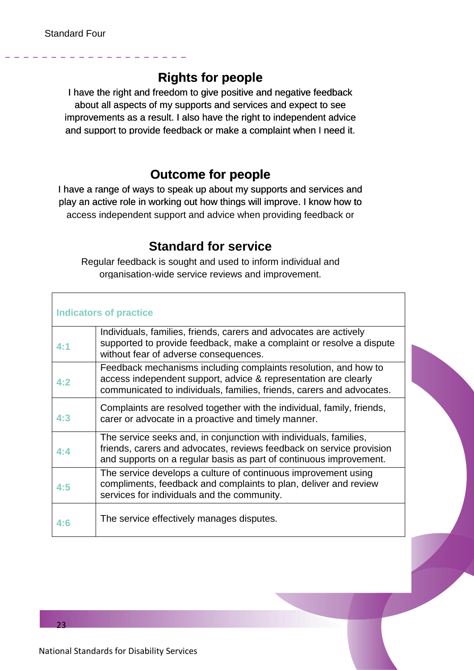#### **Rights for people**

I have the right and freedom to give positive and negative feedback about all aspects of my supports and services and expect to see improvements as a result. I also have the right to independent advice and support to provide feedback or make a complaint when I need it.

#### **Outcome for people**

I have a range of ways to speak up about my supports and services and play an active role in working out how things will improve. I know how to to access independent support and advice when providing feedback or

#### **Standard for service**

Regular feedback is sought and used to inform individual and organisation-wide service reviews and improvement.

| <b>Indicators of practice</b> |                                                                                                                                                                                                                 |  |  |  |
|-------------------------------|-----------------------------------------------------------------------------------------------------------------------------------------------------------------------------------------------------------------|--|--|--|
| 4:1                           | Individuals, families, friends, carers and advocates are actively<br>supported to provide feedback, make a complaint or resolve a dispute<br>without fear of adverse consequences.                              |  |  |  |
| 4:2                           | Feedback mechanisms including complaints resolution, and how to<br>access independent support, advice & representation are clearly<br>communicated to individuals, families, friends, carers and advocates.     |  |  |  |
| 4:3                           | Complaints are resolved together with the individual, family, friends,<br>carer or advocate in a proactive and timely manner.                                                                                   |  |  |  |
| 4:4                           | The service seeks and, in conjunction with individuals, families,<br>friends, carers and advocates, reviews feedback on service provision<br>and supports on a regular basis as part of continuous improvement. |  |  |  |
| 4:5                           | The service develops a culture of continuous improvement using<br>compliments, feedback and complaints to plan, deliver and review<br>services for individuals and the community.                               |  |  |  |
| 4:6                           | The service effectively manages disputes.                                                                                                                                                                       |  |  |  |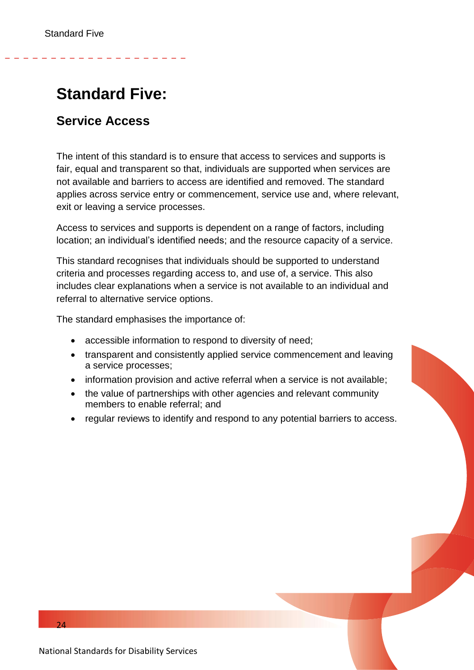## <span id="page-23-0"></span>**Standard Five:**

#### **Service Access**

The intent of this standard is to ensure that access to services and supports is fair, equal and transparent so that, individuals are supported when services are not available and barriers to access are identified and removed. The standard applies across service entry or commencement, service use and, where relevant, exit or leaving a service processes.

Access to services and supports is dependent on a range of factors, including location; an individual's identified needs; and the resource capacity of a service.

This standard recognises that individuals should be supported to understand criteria and processes regarding access to, and use of, a service. This also includes clear explanations when a service is not available to an individual and referral to alternative service options.

The standard emphasises the importance of:

- accessible information to respond to diversity of need;
- transparent and consistently applied service commencement and leaving a service processes;
- information provision and active referral when a service is not available;
- the value of partnerships with other agencies and relevant community members to enable referral; and
- regular reviews to identify and respond to any potential barriers to access.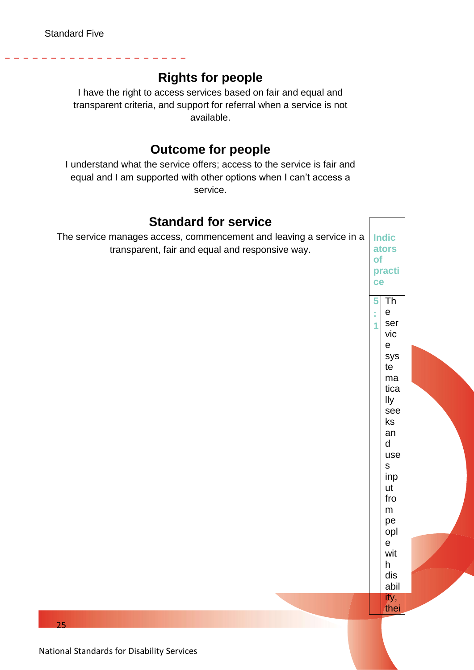#### **Rights for people**

I have the right to access services based on fair and equal and transparent criteria, and support for referral when a service is not available.

#### **Outcome for people**

I understand what the service offers; access to the service is fair and equal and I am supported with other options when I can't access a service.

#### **Indic ators of practi ce 5 : 1** Th e ser vic e sys te ma tica lly see ks an d use s inp ut fro m pe opl e wit h dis abil ity, **Standard for service** The service manages access, commencement and leaving a service in a transparent, fair and equal and responsive way.

thei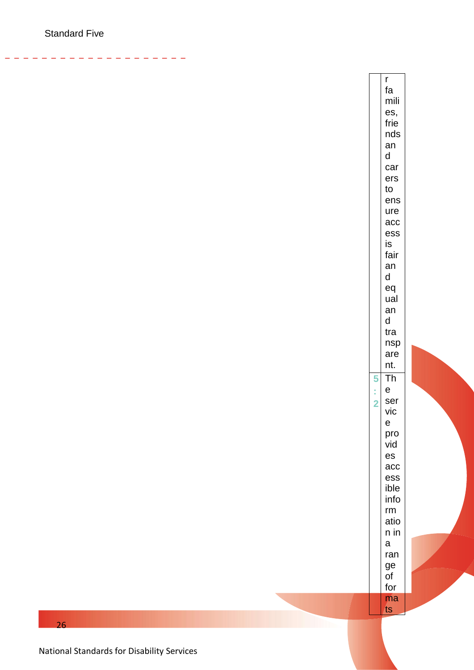-------

 $\mathsf{r}$ fa mili es, frie nds an  $\mathsf{d}$ car ers  $\mathsf{to}$ ens ure acc ess is fair an  $\mathsf{d}$ eq ual an  $\mathsf{d}$ tra nsp are nt. 5 **Th**  $\mathsf{e}$ ś ser  $\overline{2}$ vic  $\mathsf{e}$ pro vid  $es$ acc ess ible info rm atio n in  $\mathsf{a}$ ran ge of for ma ts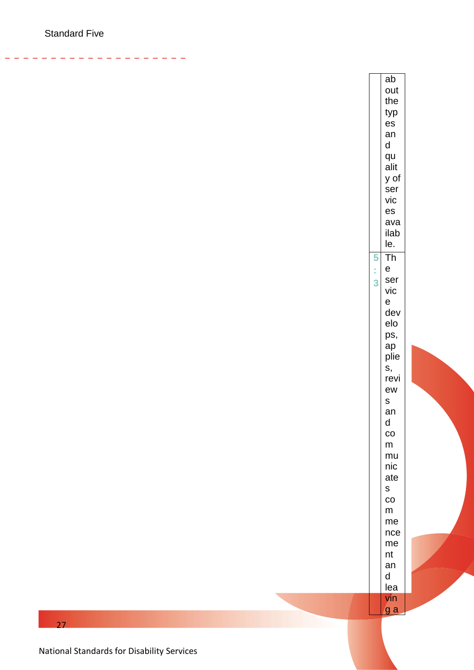والمواسع مواسع مواسع

 $ab$ out the typ es an  $\mathsf{d}$ qu alit y of ser vic es ava ilab le.  $\overline{\mathbf{5}}$ Th ś  $\mathsf{e}$ ser  $\overline{3}$ vic  $\mathsf{e}$ dev elo ps, ap plie s, revi ew  $\mathsf S$  $an$  $\mathsf{d}$  $\overline{c}$  ${\sf m}$ mu nic ate  $\mathsf{s}$  $_{\rm CO}$  $m$ me nce me  $nt$  $an$  $\mathsf{d}$ lea vin g a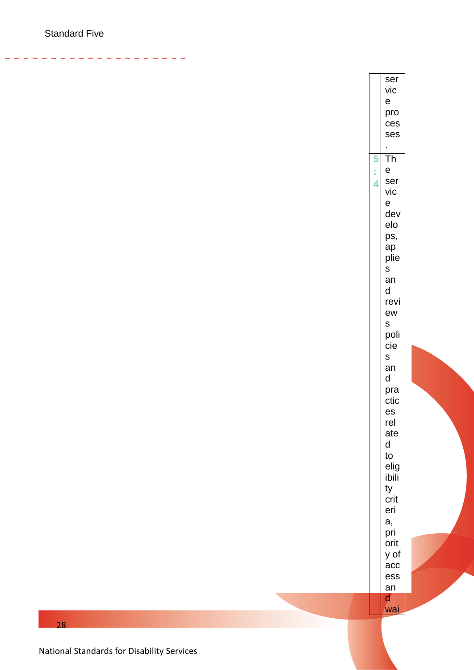والمواسع مواسع مواسع

ser vic  $\mathsf{e}$ pro ces ses t. 5 Th ś  $\mathsf{e}$ ser  $\overline{\mathbf{4}}$ vic  $\mathsf{e}$ dev elo ps, ap plie  $S$ an  $\mathsf{d}$ revi ew  $S$ poli cie  $\sf s$ an  $\mathsf{d}$ pra ctic es rel ate  $\mathsf{d}$ to elig ibili ty crit eri a, pri orit y of  $acc$ ess  $an$  $\mathbf{d}$ wai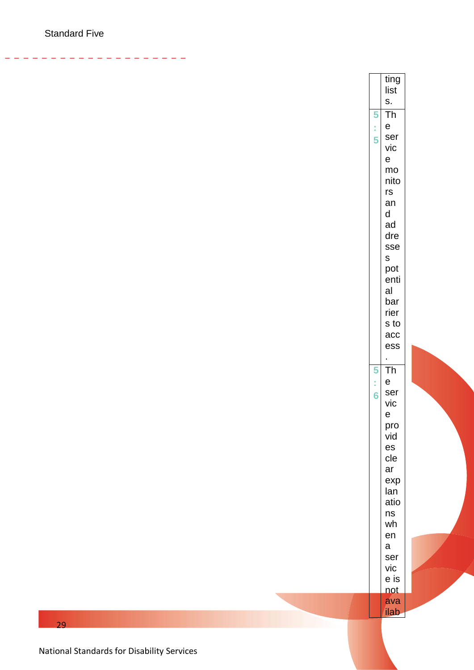- - - - - - -

ting list s. 5 Th **5:5** ś e ser  $\overline{5}$ vic e mo nito rs an d ad dre sse s pot enti al bar rier s to acc ess . 5 Th **5:6** Ì, e  $6\overline{6}$ ser vic e pro vid es cle ar exp lan atio ns wh en a ser vic e is not ava ilab

29

National Standards for Disability Services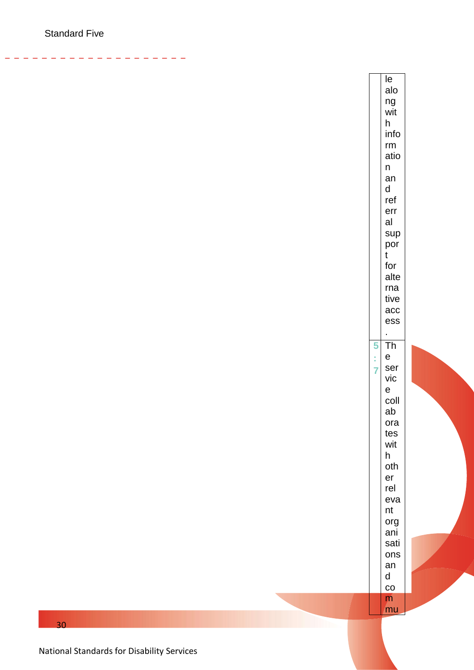-------

 $\overline{e}$ alo ng wit  $h$ info  $rm$ atio  $\mathsf n$ an  $\mathsf{d}$ ref err al sup por  $t$ for alte rna tive acc ess  $\mathcal{L}^{\mathcal{A}}$ 5 Th  $\mathbf{e}$ ł ser  $\overline{7}$ vic  $\mathsf{e}$ coll ab ora tes wit  $h$ oth  $er$ rel eva nt org ani sati ons  $an$ d  $\rm{CO}$  $m$ mu

 $30<sup>2</sup>$ 

National Standards for Disability Services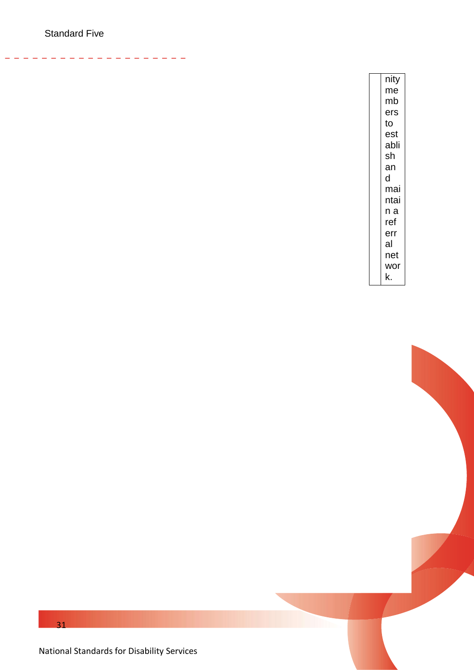$\frac{1}{2} \left( \frac{1}{2} \right) \left( \frac{1}{2} \right) \left( \frac{1}{2} \right) \left( \frac{1}{2} \right) \left( \frac{1}{2} \right) \left( \frac{1}{2} \right) \left( \frac{1}{2} \right) \left( \frac{1}{2} \right) \left( \frac{1}{2} \right) \left( \frac{1}{2} \right) \left( \frac{1}{2} \right) \left( \frac{1}{2} \right) \left( \frac{1}{2} \right) \left( \frac{1}{2} \right) \left( \frac{1}{2} \right) \left( \frac{1}{2} \right) \left( \frac$ 

| nity |
|------|
| me   |
| mb   |
| ers  |
| to   |
| est  |
| abli |
| sh   |
| an   |
| d    |
| mai  |
| ntai |
| n a  |
| ref  |
| err  |
| al   |
| net  |
| wor  |
| k.   |

 $\overline{\phantom{0}}$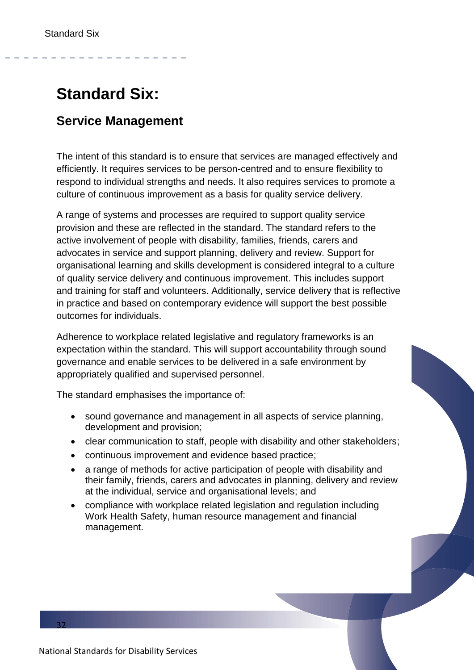## <span id="page-31-0"></span>**Standard Six:**

#### **Service Management**

The intent of this standard is to ensure that services are managed effectively and efficiently. It requires services to be person-centred and to ensure flexibility to respond to individual strengths and needs. It also requires services to promote a culture of continuous improvement as a basis for quality service delivery.

A range of systems and processes are required to support quality service provision and these are reflected in the standard. The standard refers to the active involvement of people with disability, families, friends, carers and advocates in service and support planning, delivery and review. Support for organisational learning and skills development is considered integral to a culture of quality service delivery and continuous improvement. This includes support and training for staff and volunteers. Additionally, service delivery that is reflective in practice and based on contemporary evidence will support the best possible outcomes for individuals.

Adherence to workplace related legislative and regulatory frameworks is an expectation within the standard. This will support accountability through sound governance and enable services to be delivered in a safe environment by appropriately qualified and supervised personnel.

The standard emphasises the importance of:

- sound governance and management in all aspects of service planning, development and provision;
- clear communication to staff, people with disability and other stakeholders;
- continuous improvement and evidence based practice;
- a range of methods for active participation of people with disability and their family, friends, carers and advocates in planning, delivery and review at the individual, service and organisational levels; and
- compliance with workplace related legislation and regulation including Work Health Safety, human resource management and financial management.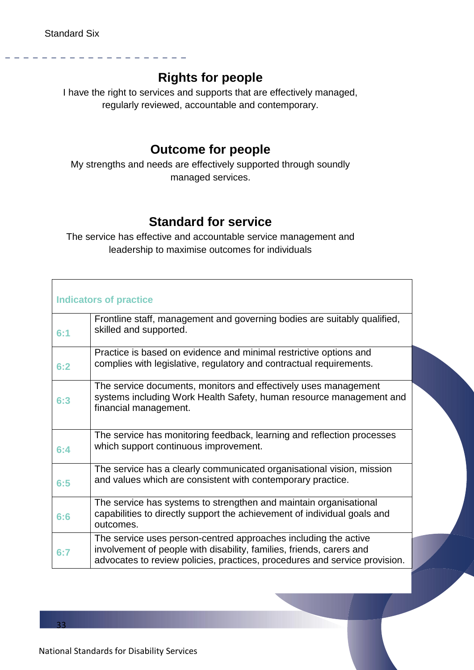#### **Rights for people**

I have the right to services and supports that are effectively managed, regularly reviewed, accountable and contemporary.

#### **Outcome for people**

My strengths and needs are effectively supported through soundly managed services.

#### **Standard for service**

The service has effective and accountable service management and leadership to maximise outcomes for individuals

|     | <b>Indicators of practice</b>                                                                                                                                                                                         |  |
|-----|-----------------------------------------------------------------------------------------------------------------------------------------------------------------------------------------------------------------------|--|
| 6:1 | Frontline staff, management and governing bodies are suitably qualified,<br>skilled and supported.                                                                                                                    |  |
| 6:2 | Practice is based on evidence and minimal restrictive options and<br>complies with legislative, regulatory and contractual requirements.                                                                              |  |
| 6:3 | The service documents, monitors and effectively uses management<br>systems including Work Health Safety, human resource management and<br>financial management.                                                       |  |
| 6:4 | The service has monitoring feedback, learning and reflection processes<br>which support continuous improvement.                                                                                                       |  |
| 6:5 | The service has a clearly communicated organisational vision, mission<br>and values which are consistent with contemporary practice.                                                                                  |  |
| 6:6 | The service has systems to strengthen and maintain organisational<br>capabilities to directly support the achievement of individual goals and<br>outcomes.                                                            |  |
| 6:7 | The service uses person-centred approaches including the active<br>involvement of people with disability, families, friends, carers and<br>advocates to review policies, practices, procedures and service provision. |  |